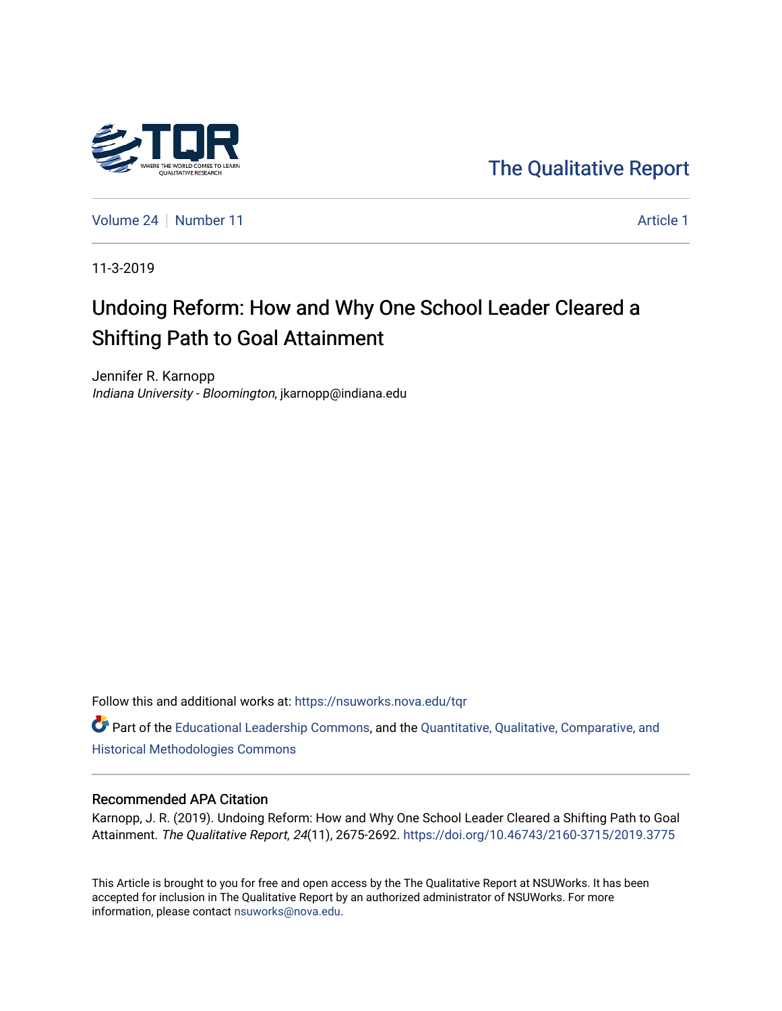

[The Qualitative Report](https://nsuworks.nova.edu/tqr) 

[Volume 24](https://nsuworks.nova.edu/tqr/vol24) [Number 11](https://nsuworks.nova.edu/tqr/vol24/iss11) [Article 1](https://nsuworks.nova.edu/tqr/vol24/iss11/1) Article 1

11-3-2019

# Undoing Reform: How and Why One School Leader Cleared a Shifting Path to Goal Attainment

Jennifer R. Karnopp Indiana University - Bloomington, jkarnopp@indiana.edu

Follow this and additional works at: [https://nsuworks.nova.edu/tqr](https://nsuworks.nova.edu/tqr?utm_source=nsuworks.nova.edu%2Ftqr%2Fvol24%2Fiss11%2F1&utm_medium=PDF&utm_campaign=PDFCoverPages) 

Part of the [Educational Leadership Commons,](http://network.bepress.com/hgg/discipline/1230?utm_source=nsuworks.nova.edu%2Ftqr%2Fvol24%2Fiss11%2F1&utm_medium=PDF&utm_campaign=PDFCoverPages) and the [Quantitative, Qualitative, Comparative, and](http://network.bepress.com/hgg/discipline/423?utm_source=nsuworks.nova.edu%2Ftqr%2Fvol24%2Fiss11%2F1&utm_medium=PDF&utm_campaign=PDFCoverPages)  [Historical Methodologies Commons](http://network.bepress.com/hgg/discipline/423?utm_source=nsuworks.nova.edu%2Ftqr%2Fvol24%2Fiss11%2F1&utm_medium=PDF&utm_campaign=PDFCoverPages) 

#### Recommended APA Citation

Karnopp, J. R. (2019). Undoing Reform: How and Why One School Leader Cleared a Shifting Path to Goal Attainment. The Qualitative Report, 24(11), 2675-2692. <https://doi.org/10.46743/2160-3715/2019.3775>

This Article is brought to you for free and open access by the The Qualitative Report at NSUWorks. It has been accepted for inclusion in The Qualitative Report by an authorized administrator of NSUWorks. For more information, please contact [nsuworks@nova.edu.](mailto:nsuworks@nova.edu)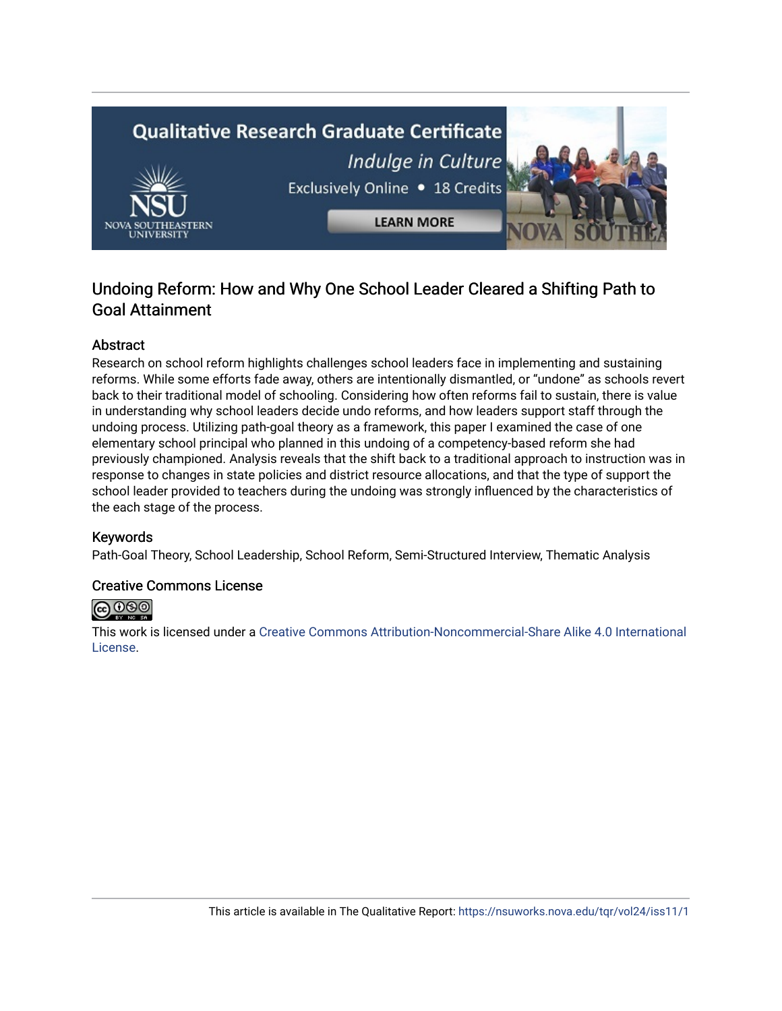

# Undoing Reform: How and Why One School Leader Cleared a Shifting Path to Goal Attainment

# Abstract

Research on school reform highlights challenges school leaders face in implementing and sustaining reforms. While some efforts fade away, others are intentionally dismantled, or "undone" as schools revert back to their traditional model of schooling. Considering how often reforms fail to sustain, there is value in understanding why school leaders decide undo reforms, and how leaders support staff through the undoing process. Utilizing path-goal theory as a framework, this paper I examined the case of one elementary school principal who planned in this undoing of a competency-based reform she had previously championed. Analysis reveals that the shift back to a traditional approach to instruction was in response to changes in state policies and district resource allocations, and that the type of support the school leader provided to teachers during the undoing was strongly influenced by the characteristics of the each stage of the process.

# Keywords

Path-Goal Theory, School Leadership, School Reform, Semi-Structured Interview, Thematic Analysis

# Creative Commons License



This work is licensed under a [Creative Commons Attribution-Noncommercial-Share Alike 4.0 International](https://creativecommons.org/licenses/by-nc-sa/4.0/)  [License](https://creativecommons.org/licenses/by-nc-sa/4.0/).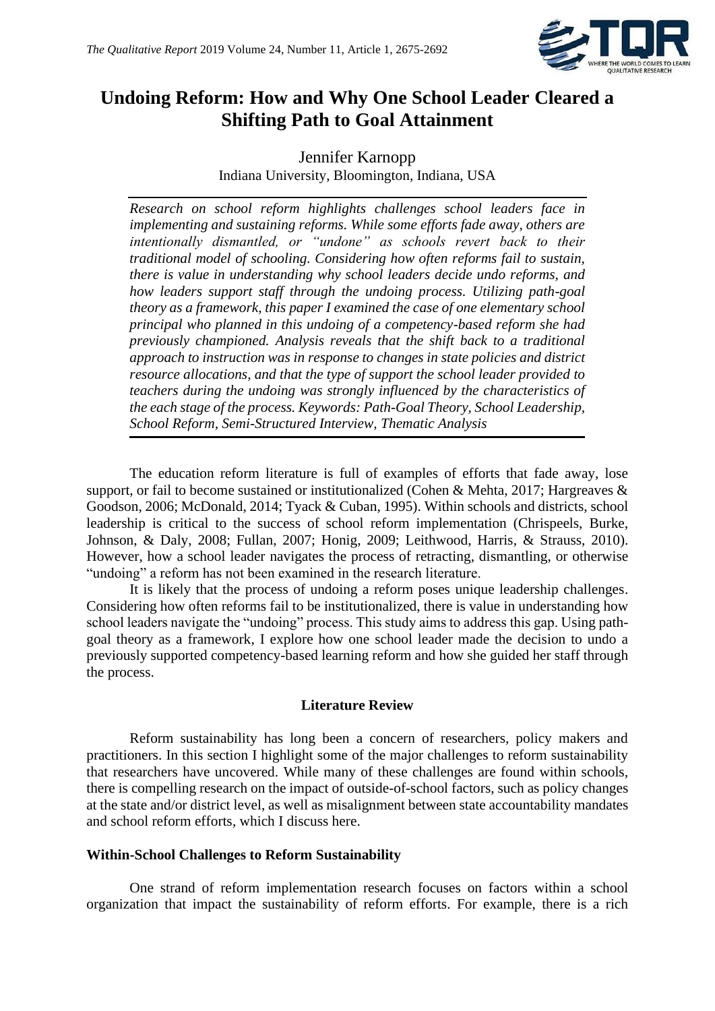

# **Undoing Reform: How and Why One School Leader Cleared a Shifting Path to Goal Attainment**

Jennifer Karnopp Indiana University, Bloomington, Indiana, USA

*Research on school reform highlights challenges school leaders face in implementing and sustaining reforms. While some efforts fade away, others are intentionally dismantled, or "undone" as schools revert back to their traditional model of schooling. Considering how often reforms fail to sustain, there is value in understanding why school leaders decide undo reforms, and how leaders support staff through the undoing process. Utilizing path-goal theory as a framework, this paper I examined the case of one elementary school principal who planned in this undoing of a competency-based reform she had previously championed. Analysis reveals that the shift back to a traditional approach to instruction was in response to changes in state policies and district resource allocations, and that the type of support the school leader provided to teachers during the undoing was strongly influenced by the characteristics of the each stage of the process. Keywords: Path-Goal Theory, School Leadership, School Reform, Semi-Structured Interview, Thematic Analysis*

The education reform literature is full of examples of efforts that fade away, lose support, or fail to become sustained or institutionalized (Cohen & Mehta, 2017; Hargreaves & Goodson, 2006; McDonald, 2014; Tyack & Cuban, 1995). Within schools and districts, school leadership is critical to the success of school reform implementation (Chrispeels, Burke, Johnson, & Daly, 2008; Fullan, 2007; Honig, 2009; Leithwood, Harris, & Strauss, 2010). However, how a school leader navigates the process of retracting, dismantling, or otherwise "undoing" a reform has not been examined in the research literature.

It is likely that the process of undoing a reform poses unique leadership challenges. Considering how often reforms fail to be institutionalized, there is value in understanding how school leaders navigate the "undoing" process. This study aims to address this gap. Using pathgoal theory as a framework, I explore how one school leader made the decision to undo a previously supported competency-based learning reform and how she guided her staff through the process.

# **Literature Review**

Reform sustainability has long been a concern of researchers, policy makers and practitioners. In this section I highlight some of the major challenges to reform sustainability that researchers have uncovered. While many of these challenges are found within schools, there is compelling research on the impact of outside-of-school factors, such as policy changes at the state and/or district level, as well as misalignment between state accountability mandates and school reform efforts, which I discuss here.

#### **Within-School Challenges to Reform Sustainability**

One strand of reform implementation research focuses on factors within a school organization that impact the sustainability of reform efforts. For example, there is a rich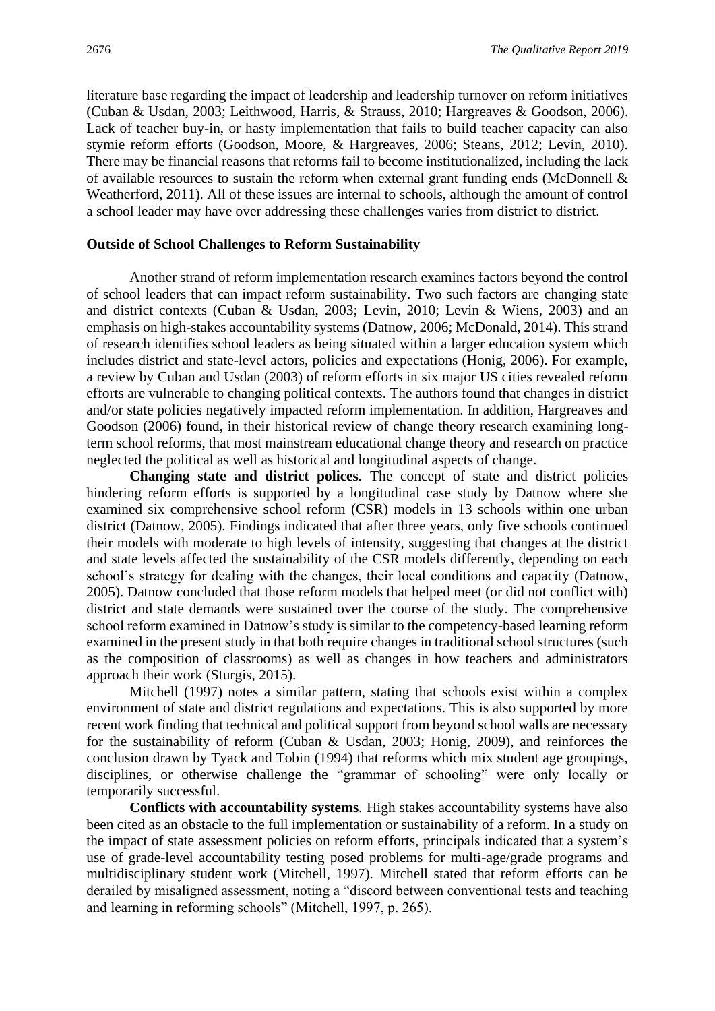literature base regarding the impact of leadership and leadership turnover on reform initiatives (Cuban & Usdan, 2003; Leithwood, Harris, & Strauss, 2010; Hargreaves & Goodson, 2006). Lack of teacher buy-in, or hasty implementation that fails to build teacher capacity can also stymie reform efforts (Goodson, Moore, & Hargreaves, 2006; Steans, 2012; Levin, 2010). There may be financial reasons that reforms fail to become institutionalized, including the lack of available resources to sustain the reform when external grant funding ends (McDonnell & Weatherford, 2011). All of these issues are internal to schools, although the amount of control a school leader may have over addressing these challenges varies from district to district.

#### **Outside of School Challenges to Reform Sustainability**

Another strand of reform implementation research examines factors beyond the control of school leaders that can impact reform sustainability. Two such factors are changing state and district contexts (Cuban & Usdan, 2003; Levin, 2010; Levin & Wiens, 2003) and an emphasis on high-stakes accountability systems (Datnow, 2006; McDonald, 2014). This strand of research identifies school leaders as being situated within a larger education system which includes district and state-level actors, policies and expectations (Honig, 2006). For example, a review by Cuban and Usdan (2003) of reform efforts in six major US cities revealed reform efforts are vulnerable to changing political contexts. The authors found that changes in district and/or state policies negatively impacted reform implementation. In addition, Hargreaves and Goodson (2006) found, in their historical review of change theory research examining longterm school reforms, that most mainstream educational change theory and research on practice neglected the political as well as historical and longitudinal aspects of change.

**Changing state and district polices.** The concept of state and district policies hindering reform efforts is supported by a longitudinal case study by Datnow where she examined six comprehensive school reform (CSR) models in 13 schools within one urban district (Datnow, 2005). Findings indicated that after three years, only five schools continued their models with moderate to high levels of intensity, suggesting that changes at the district and state levels affected the sustainability of the CSR models differently, depending on each school's strategy for dealing with the changes, their local conditions and capacity (Datnow, 2005). Datnow concluded that those reform models that helped meet (or did not conflict with) district and state demands were sustained over the course of the study. The comprehensive school reform examined in Datnow's study is similar to the competency-based learning reform examined in the present study in that both require changes in traditional school structures (such as the composition of classrooms) as well as changes in how teachers and administrators approach their work (Sturgis, 2015).

Mitchell (1997) notes a similar pattern, stating that schools exist within a complex environment of state and district regulations and expectations. This is also supported by more recent work finding that technical and political support from beyond school walls are necessary for the sustainability of reform (Cuban & Usdan, 2003; Honig, 2009), and reinforces the conclusion drawn by Tyack and Tobin (1994) that reforms which mix student age groupings, disciplines, or otherwise challenge the "grammar of schooling" were only locally or temporarily successful.

**Conflicts with accountability systems***.* High stakes accountability systems have also been cited as an obstacle to the full implementation or sustainability of a reform. In a study on the impact of state assessment policies on reform efforts, principals indicated that a system's use of grade-level accountability testing posed problems for multi-age/grade programs and multidisciplinary student work (Mitchell, 1997). Mitchell stated that reform efforts can be derailed by misaligned assessment, noting a "discord between conventional tests and teaching and learning in reforming schools" (Mitchell, 1997, p. 265).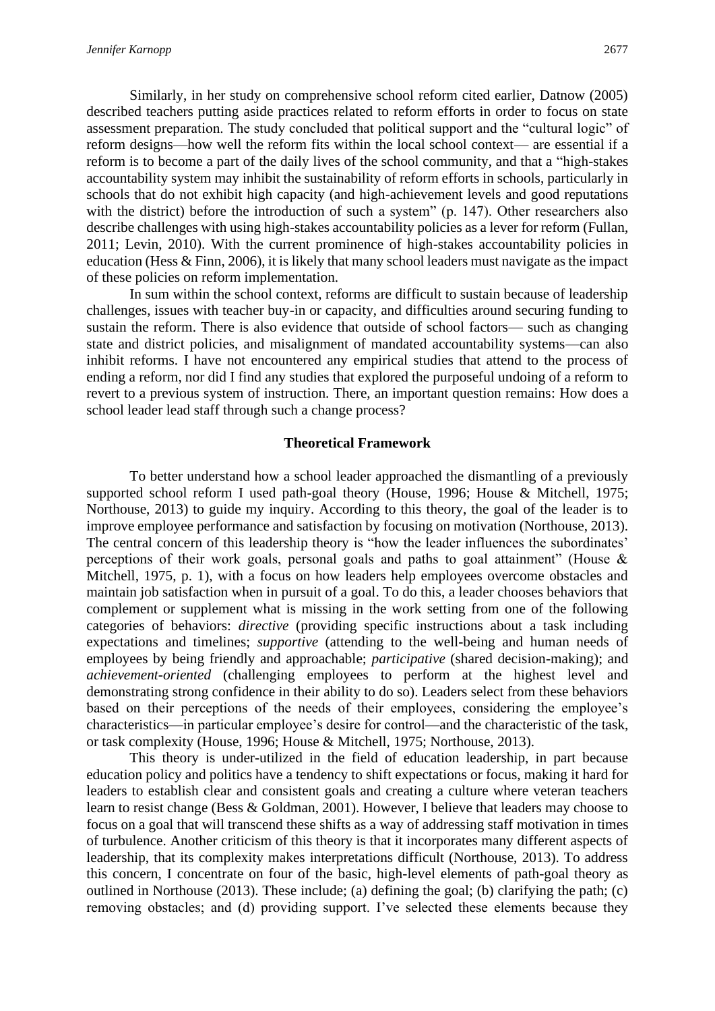Similarly, in her study on comprehensive school reform cited earlier, Datnow (2005) described teachers putting aside practices related to reform efforts in order to focus on state assessment preparation. The study concluded that political support and the "cultural logic" of reform designs—how well the reform fits within the local school context— are essential if a reform is to become a part of the daily lives of the school community, and that a "high-stakes accountability system may inhibit the sustainability of reform efforts in schools, particularly in schools that do not exhibit high capacity (and high-achievement levels and good reputations with the district) before the introduction of such a system" (p. 147). Other researchers also describe challenges with using high-stakes accountability policies as a lever for reform (Fullan, 2011; Levin, 2010). With the current prominence of high-stakes accountability policies in education (Hess & Finn, 2006), it is likely that many school leaders must navigate as the impact of these policies on reform implementation.

In sum within the school context, reforms are difficult to sustain because of leadership challenges, issues with teacher buy-in or capacity, and difficulties around securing funding to sustain the reform. There is also evidence that outside of school factors— such as changing state and district policies, and misalignment of mandated accountability systems—can also inhibit reforms. I have not encountered any empirical studies that attend to the process of ending a reform, nor did I find any studies that explored the purposeful undoing of a reform to revert to a previous system of instruction. There, an important question remains: How does a school leader lead staff through such a change process?

#### **Theoretical Framework**

To better understand how a school leader approached the dismantling of a previously supported school reform I used path-goal theory (House, 1996; House & Mitchell, 1975; Northouse, 2013) to guide my inquiry. According to this theory, the goal of the leader is to improve employee performance and satisfaction by focusing on motivation (Northouse, 2013). The central concern of this leadership theory is "how the leader influences the subordinates' perceptions of their work goals, personal goals and paths to goal attainment" (House & Mitchell, 1975, p. 1), with a focus on how leaders help employees overcome obstacles and maintain job satisfaction when in pursuit of a goal. To do this, a leader chooses behaviors that complement or supplement what is missing in the work setting from one of the following categories of behaviors: *directive* (providing specific instructions about a task including expectations and timelines; *supportive* (attending to the well-being and human needs of employees by being friendly and approachable; *participative* (shared decision-making); and *achievement-oriented* (challenging employees to perform at the highest level and demonstrating strong confidence in their ability to do so). Leaders select from these behaviors based on their perceptions of the needs of their employees, considering the employee's characteristics—in particular employee's desire for control—and the characteristic of the task, or task complexity (House, 1996; House & Mitchell, 1975; Northouse, 2013).

This theory is under-utilized in the field of education leadership, in part because education policy and politics have a tendency to shift expectations or focus, making it hard for leaders to establish clear and consistent goals and creating a culture where veteran teachers learn to resist change (Bess & Goldman, 2001). However, I believe that leaders may choose to focus on a goal that will transcend these shifts as a way of addressing staff motivation in times of turbulence. Another criticism of this theory is that it incorporates many different aspects of leadership, that its complexity makes interpretations difficult (Northouse, 2013). To address this concern, I concentrate on four of the basic, high-level elements of path-goal theory as outlined in Northouse (2013). These include; (a) defining the goal; (b) clarifying the path; (c) removing obstacles; and (d) providing support. I've selected these elements because they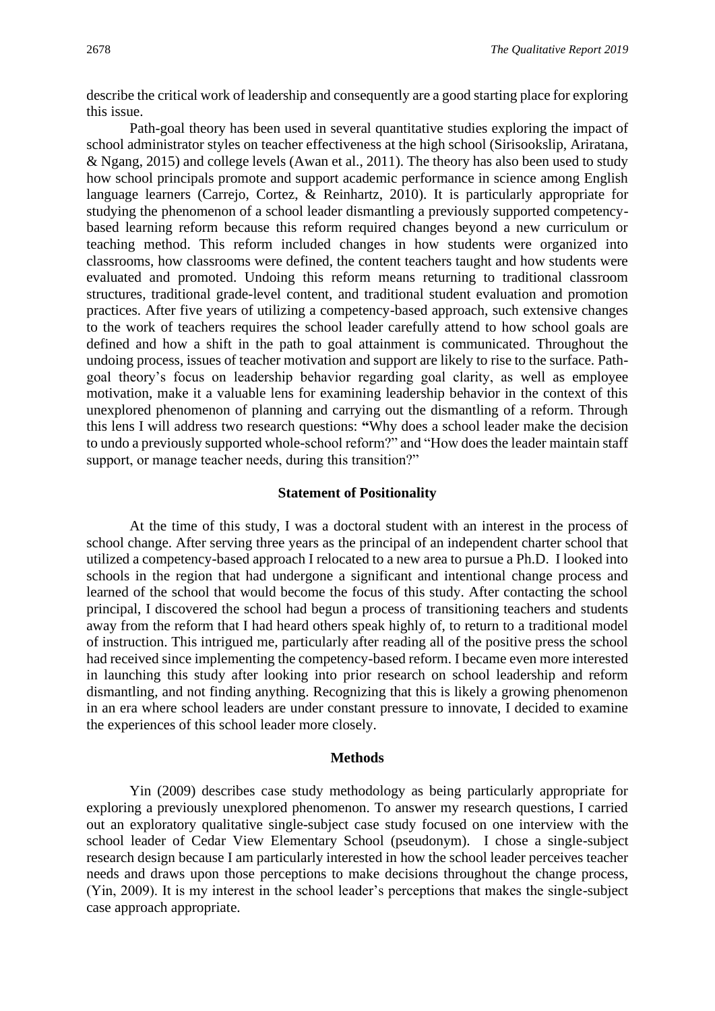describe the critical work of leadership and consequently are a good starting place for exploring this issue.

Path-goal theory has been used in several quantitative studies exploring the impact of school administrator styles on teacher effectiveness at the high school (Sirisookslip, Ariratana, & Ngang, 2015) and college levels (Awan et al., 2011). The theory has also been used to study how school principals promote and support academic performance in science among English language learners (Carrejo, Cortez, & Reinhartz, 2010). It is particularly appropriate for studying the phenomenon of a school leader dismantling a previously supported competencybased learning reform because this reform required changes beyond a new curriculum or teaching method. This reform included changes in how students were organized into classrooms, how classrooms were defined, the content teachers taught and how students were evaluated and promoted. Undoing this reform means returning to traditional classroom structures, traditional grade-level content, and traditional student evaluation and promotion practices. After five years of utilizing a competency-based approach, such extensive changes to the work of teachers requires the school leader carefully attend to how school goals are defined and how a shift in the path to goal attainment is communicated. Throughout the undoing process, issues of teacher motivation and support are likely to rise to the surface. Pathgoal theory's focus on leadership behavior regarding goal clarity, as well as employee motivation, make it a valuable lens for examining leadership behavior in the context of this unexplored phenomenon of planning and carrying out the dismantling of a reform. Through this lens I will address two research questions: **"**Why does a school leader make the decision to undo a previously supported whole-school reform?" and "How does the leader maintain staff support, or manage teacher needs, during this transition?"

# **Statement of Positionality**

At the time of this study, I was a doctoral student with an interest in the process of school change. After serving three years as the principal of an independent charter school that utilized a competency-based approach I relocated to a new area to pursue a Ph.D. I looked into schools in the region that had undergone a significant and intentional change process and learned of the school that would become the focus of this study. After contacting the school principal, I discovered the school had begun a process of transitioning teachers and students away from the reform that I had heard others speak highly of, to return to a traditional model of instruction. This intrigued me, particularly after reading all of the positive press the school had received since implementing the competency-based reform. I became even more interested in launching this study after looking into prior research on school leadership and reform dismantling, and not finding anything. Recognizing that this is likely a growing phenomenon in an era where school leaders are under constant pressure to innovate, I decided to examine the experiences of this school leader more closely.

#### **Methods**

Yin (2009) describes case study methodology as being particularly appropriate for exploring a previously unexplored phenomenon. To answer my research questions, I carried out an exploratory qualitative single-subject case study focused on one interview with the school leader of Cedar View Elementary School (pseudonym). I chose a single-subject research design because I am particularly interested in how the school leader perceives teacher needs and draws upon those perceptions to make decisions throughout the change process, (Yin, 2009). It is my interest in the school leader's perceptions that makes the single-subject case approach appropriate.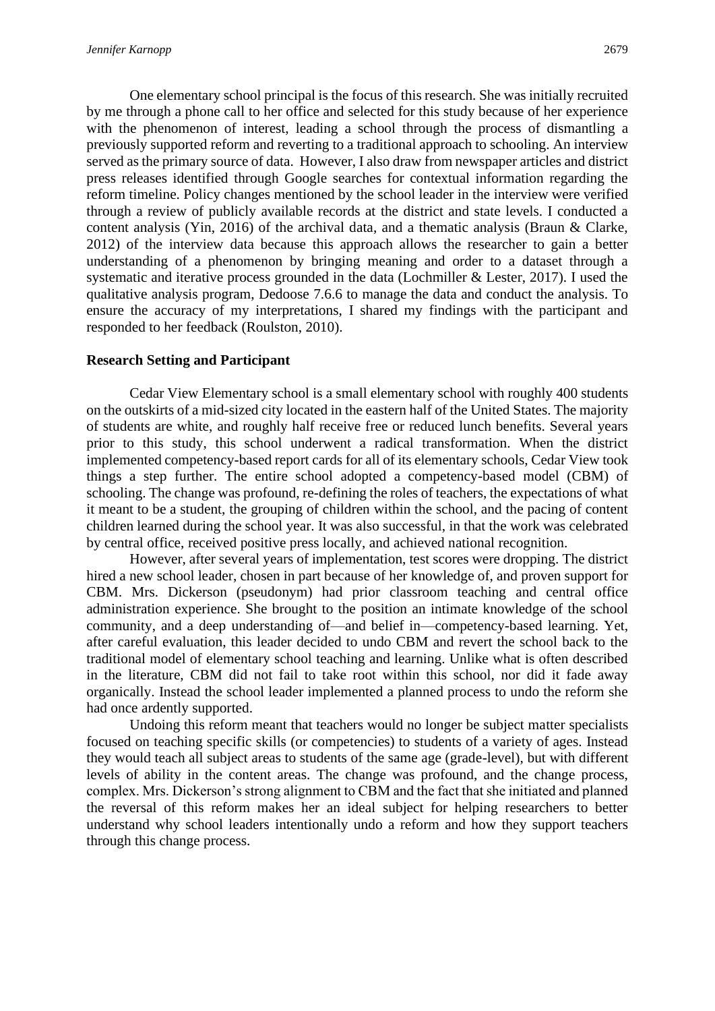One elementary school principal is the focus of this research. She was initially recruited by me through a phone call to her office and selected for this study because of her experience with the phenomenon of interest, leading a school through the process of dismantling a previously supported reform and reverting to a traditional approach to schooling. An interview served as the primary source of data. However, I also draw from newspaper articles and district press releases identified through Google searches for contextual information regarding the reform timeline. Policy changes mentioned by the school leader in the interview were verified through a review of publicly available records at the district and state levels. I conducted a content analysis (Yin, 2016) of the archival data, and a thematic analysis (Braun & Clarke, 2012) of the interview data because this approach allows the researcher to gain a better understanding of a phenomenon by bringing meaning and order to a dataset through a systematic and iterative process grounded in the data (Lochmiller & Lester, 2017). I used the qualitative analysis program, Dedoose 7.6.6 to manage the data and conduct the analysis. To ensure the accuracy of my interpretations, I shared my findings with the participant and responded to her feedback (Roulston, 2010).

# **Research Setting and Participant**

Cedar View Elementary school is a small elementary school with roughly 400 students on the outskirts of a mid-sized city located in the eastern half of the United States. The majority of students are white, and roughly half receive free or reduced lunch benefits. Several years prior to this study, this school underwent a radical transformation. When the district implemented competency-based report cards for all of its elementary schools, Cedar View took things a step further. The entire school adopted a competency-based model (CBM) of schooling. The change was profound, re-defining the roles of teachers, the expectations of what it meant to be a student, the grouping of children within the school, and the pacing of content children learned during the school year. It was also successful, in that the work was celebrated by central office, received positive press locally, and achieved national recognition.

However, after several years of implementation, test scores were dropping. The district hired a new school leader, chosen in part because of her knowledge of, and proven support for CBM. Mrs. Dickerson (pseudonym) had prior classroom teaching and central office administration experience. She brought to the position an intimate knowledge of the school community, and a deep understanding of—and belief in—competency-based learning. Yet, after careful evaluation, this leader decided to undo CBM and revert the school back to the traditional model of elementary school teaching and learning. Unlike what is often described in the literature, CBM did not fail to take root within this school, nor did it fade away organically. Instead the school leader implemented a planned process to undo the reform she had once ardently supported.

Undoing this reform meant that teachers would no longer be subject matter specialists focused on teaching specific skills (or competencies) to students of a variety of ages. Instead they would teach all subject areas to students of the same age (grade-level), but with different levels of ability in the content areas. The change was profound, and the change process, complex. Mrs. Dickerson's strong alignment to CBM and the fact that she initiated and planned the reversal of this reform makes her an ideal subject for helping researchers to better understand why school leaders intentionally undo a reform and how they support teachers through this change process.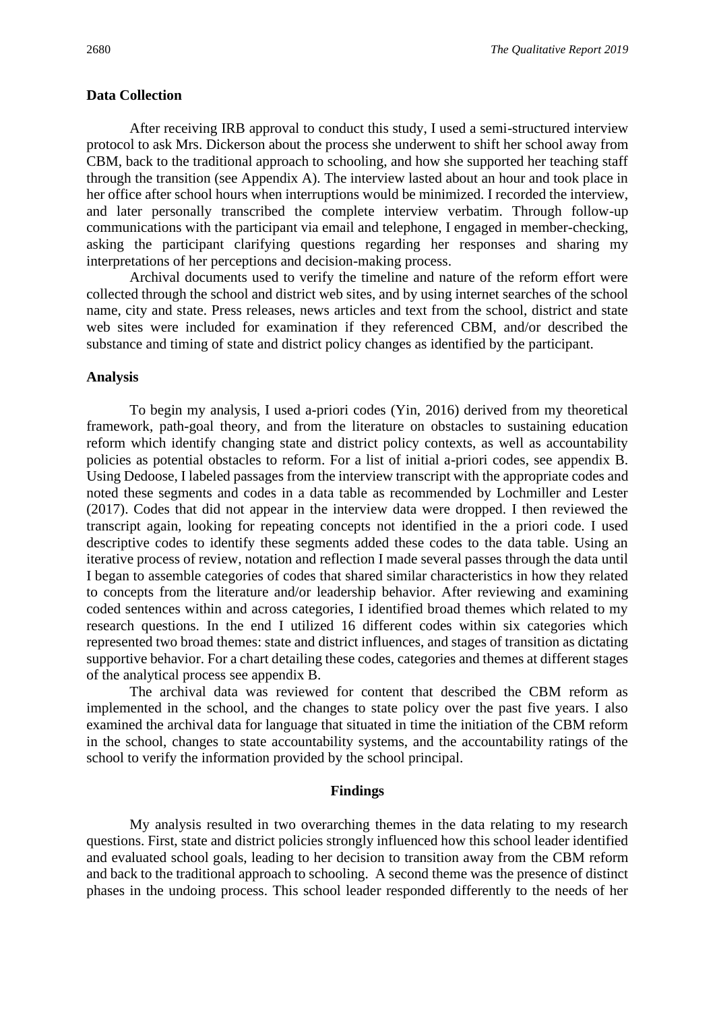#### **Data Collection**

After receiving IRB approval to conduct this study, I used a semi-structured interview protocol to ask Mrs. Dickerson about the process she underwent to shift her school away from CBM, back to the traditional approach to schooling, and how she supported her teaching staff through the transition (see Appendix A). The interview lasted about an hour and took place in her office after school hours when interruptions would be minimized. I recorded the interview, and later personally transcribed the complete interview verbatim. Through follow-up communications with the participant via email and telephone, I engaged in member-checking, asking the participant clarifying questions regarding her responses and sharing my interpretations of her perceptions and decision-making process.

Archival documents used to verify the timeline and nature of the reform effort were collected through the school and district web sites, and by using internet searches of the school name, city and state. Press releases, news articles and text from the school, district and state web sites were included for examination if they referenced CBM, and/or described the substance and timing of state and district policy changes as identified by the participant.

#### **Analysis**

To begin my analysis, I used a-priori codes (Yin, 2016) derived from my theoretical framework, path-goal theory, and from the literature on obstacles to sustaining education reform which identify changing state and district policy contexts, as well as accountability policies as potential obstacles to reform. For a list of initial a-priori codes, see appendix B. Using Dedoose, I labeled passages from the interview transcript with the appropriate codes and noted these segments and codes in a data table as recommended by Lochmiller and Lester (2017). Codes that did not appear in the interview data were dropped. I then reviewed the transcript again, looking for repeating concepts not identified in the a priori code. I used descriptive codes to identify these segments added these codes to the data table. Using an iterative process of review, notation and reflection I made several passes through the data until I began to assemble categories of codes that shared similar characteristics in how they related to concepts from the literature and/or leadership behavior. After reviewing and examining coded sentences within and across categories, I identified broad themes which related to my research questions. In the end I utilized 16 different codes within six categories which represented two broad themes: state and district influences, and stages of transition as dictating supportive behavior. For a chart detailing these codes, categories and themes at different stages of the analytical process see appendix B.

The archival data was reviewed for content that described the CBM reform as implemented in the school, and the changes to state policy over the past five years. I also examined the archival data for language that situated in time the initiation of the CBM reform in the school, changes to state accountability systems, and the accountability ratings of the school to verify the information provided by the school principal.

#### **Findings**

My analysis resulted in two overarching themes in the data relating to my research questions. First, state and district policies strongly influenced how this school leader identified and evaluated school goals, leading to her decision to transition away from the CBM reform and back to the traditional approach to schooling. A second theme was the presence of distinct phases in the undoing process. This school leader responded differently to the needs of her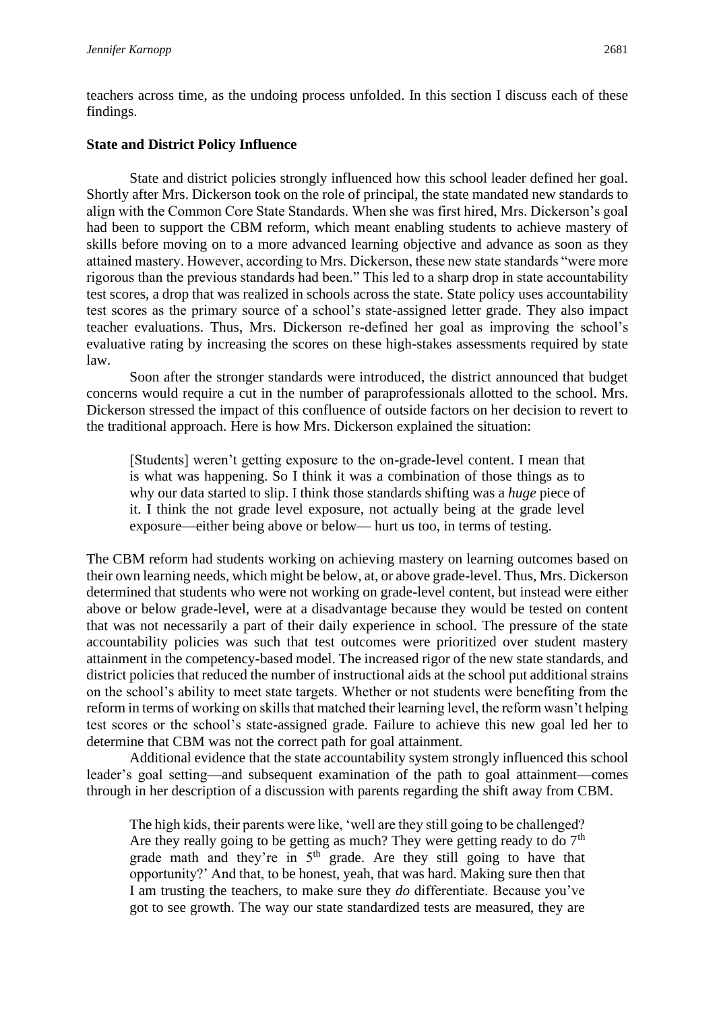teachers across time, as the undoing process unfolded. In this section I discuss each of these findings.

#### **State and District Policy Influence**

State and district policies strongly influenced how this school leader defined her goal. Shortly after Mrs. Dickerson took on the role of principal, the state mandated new standards to align with the Common Core State Standards. When she was first hired, Mrs. Dickerson's goal had been to support the CBM reform, which meant enabling students to achieve mastery of skills before moving on to a more advanced learning objective and advance as soon as they attained mastery. However, according to Mrs. Dickerson, these new state standards "were more rigorous than the previous standards had been." This led to a sharp drop in state accountability test scores, a drop that was realized in schools across the state. State policy uses accountability test scores as the primary source of a school's state-assigned letter grade. They also impact teacher evaluations. Thus, Mrs. Dickerson re-defined her goal as improving the school's evaluative rating by increasing the scores on these high-stakes assessments required by state law.

Soon after the stronger standards were introduced, the district announced that budget concerns would require a cut in the number of paraprofessionals allotted to the school. Mrs. Dickerson stressed the impact of this confluence of outside factors on her decision to revert to the traditional approach. Here is how Mrs. Dickerson explained the situation:

[Students] weren't getting exposure to the on-grade-level content. I mean that is what was happening. So I think it was a combination of those things as to why our data started to slip. I think those standards shifting was a *huge* piece of it. I think the not grade level exposure, not actually being at the grade level exposure—either being above or below— hurt us too, in terms of testing.

The CBM reform had students working on achieving mastery on learning outcomes based on their own learning needs, which might be below, at, or above grade-level. Thus, Mrs. Dickerson determined that students who were not working on grade-level content, but instead were either above or below grade-level, were at a disadvantage because they would be tested on content that was not necessarily a part of their daily experience in school. The pressure of the state accountability policies was such that test outcomes were prioritized over student mastery attainment in the competency-based model. The increased rigor of the new state standards, and district policies that reduced the number of instructional aids at the school put additional strains on the school's ability to meet state targets. Whether or not students were benefiting from the reform in terms of working on skills that matched their learning level, the reform wasn't helping test scores or the school's state-assigned grade. Failure to achieve this new goal led her to determine that CBM was not the correct path for goal attainment.

Additional evidence that the state accountability system strongly influenced this school leader's goal setting—and subsequent examination of the path to goal attainment—comes through in her description of a discussion with parents regarding the shift away from CBM.

The high kids, their parents were like, 'well are they still going to be challenged? Are they really going to be getting as much? They were getting ready to do  $7<sup>th</sup>$ grade math and they're in  $5<sup>th</sup>$  grade. Are they still going to have that opportunity?' And that, to be honest, yeah, that was hard. Making sure then that I am trusting the teachers, to make sure they *do* differentiate. Because you've got to see growth. The way our state standardized tests are measured, they are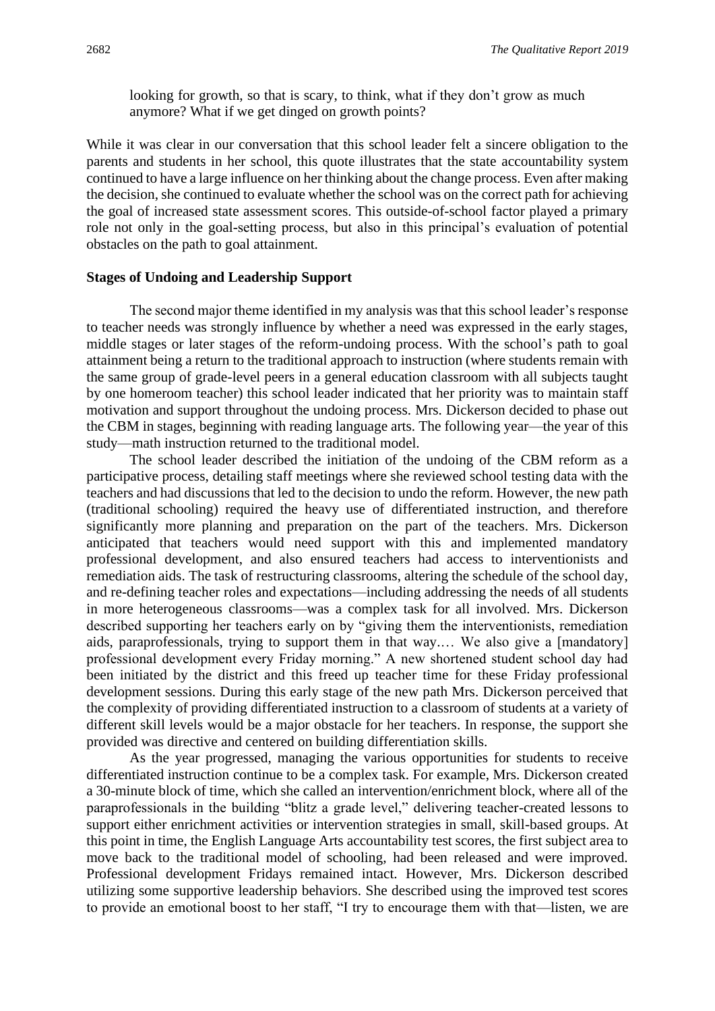looking for growth, so that is scary, to think, what if they don't grow as much anymore? What if we get dinged on growth points?

While it was clear in our conversation that this school leader felt a sincere obligation to the parents and students in her school, this quote illustrates that the state accountability system continued to have a large influence on her thinking about the change process. Even after making the decision, she continued to evaluate whether the school was on the correct path for achieving the goal of increased state assessment scores. This outside-of-school factor played a primary role not only in the goal-setting process, but also in this principal's evaluation of potential obstacles on the path to goal attainment.

#### **Stages of Undoing and Leadership Support**

The second major theme identified in my analysis was that this school leader's response to teacher needs was strongly influence by whether a need was expressed in the early stages, middle stages or later stages of the reform-undoing process. With the school's path to goal attainment being a return to the traditional approach to instruction (where students remain with the same group of grade-level peers in a general education classroom with all subjects taught by one homeroom teacher) this school leader indicated that her priority was to maintain staff motivation and support throughout the undoing process. Mrs. Dickerson decided to phase out the CBM in stages, beginning with reading language arts. The following year—the year of this study—math instruction returned to the traditional model.

The school leader described the initiation of the undoing of the CBM reform as a participative process, detailing staff meetings where she reviewed school testing data with the teachers and had discussions that led to the decision to undo the reform. However, the new path (traditional schooling) required the heavy use of differentiated instruction, and therefore significantly more planning and preparation on the part of the teachers. Mrs. Dickerson anticipated that teachers would need support with this and implemented mandatory professional development, and also ensured teachers had access to interventionists and remediation aids. The task of restructuring classrooms, altering the schedule of the school day, and re-defining teacher roles and expectations—including addressing the needs of all students in more heterogeneous classrooms—was a complex task for all involved. Mrs. Dickerson described supporting her teachers early on by "giving them the interventionists, remediation aids, paraprofessionals, trying to support them in that way.… We also give a [mandatory] professional development every Friday morning." A new shortened student school day had been initiated by the district and this freed up teacher time for these Friday professional development sessions. During this early stage of the new path Mrs. Dickerson perceived that the complexity of providing differentiated instruction to a classroom of students at a variety of different skill levels would be a major obstacle for her teachers. In response, the support she provided was directive and centered on building differentiation skills.

As the year progressed, managing the various opportunities for students to receive differentiated instruction continue to be a complex task. For example, Mrs. Dickerson created a 30-minute block of time, which she called an intervention/enrichment block, where all of the paraprofessionals in the building "blitz a grade level," delivering teacher-created lessons to support either enrichment activities or intervention strategies in small, skill-based groups. At this point in time, the English Language Arts accountability test scores, the first subject area to move back to the traditional model of schooling, had been released and were improved. Professional development Fridays remained intact. However, Mrs. Dickerson described utilizing some supportive leadership behaviors. She described using the improved test scores to provide an emotional boost to her staff, "I try to encourage them with that—listen, we are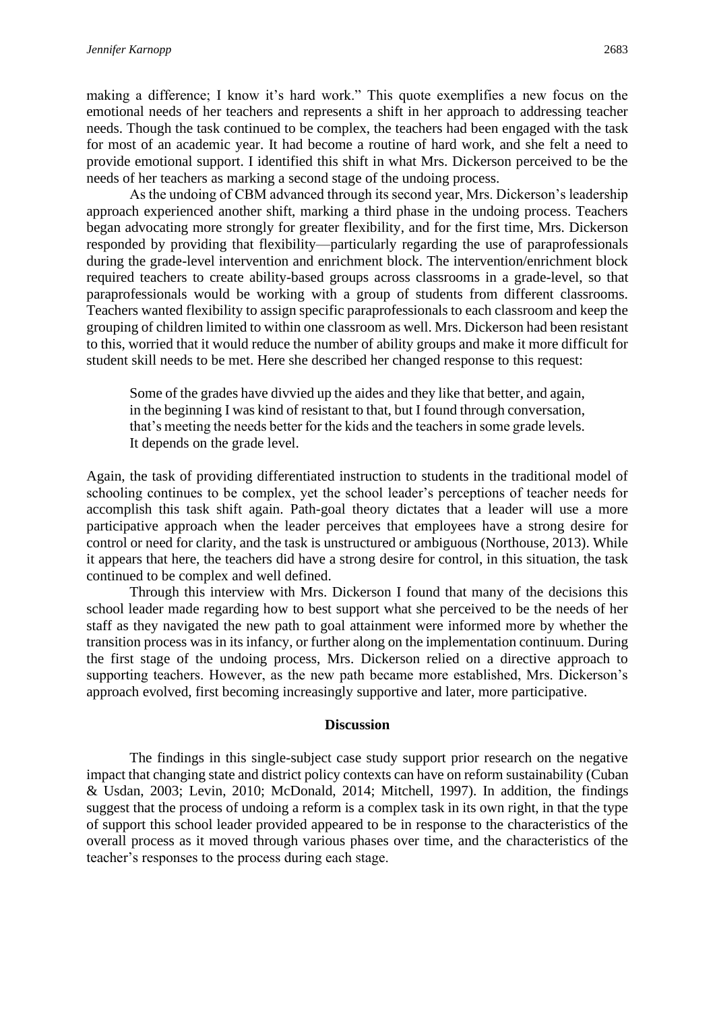making a difference; I know it's hard work." This quote exemplifies a new focus on the emotional needs of her teachers and represents a shift in her approach to addressing teacher needs. Though the task continued to be complex, the teachers had been engaged with the task for most of an academic year. It had become a routine of hard work, and she felt a need to provide emotional support. I identified this shift in what Mrs. Dickerson perceived to be the needs of her teachers as marking a second stage of the undoing process.

As the undoing of CBM advanced through its second year, Mrs. Dickerson's leadership approach experienced another shift, marking a third phase in the undoing process. Teachers began advocating more strongly for greater flexibility, and for the first time, Mrs. Dickerson responded by providing that flexibility—particularly regarding the use of paraprofessionals during the grade-level intervention and enrichment block. The intervention/enrichment block required teachers to create ability-based groups across classrooms in a grade-level, so that paraprofessionals would be working with a group of students from different classrooms. Teachers wanted flexibility to assign specific paraprofessionals to each classroom and keep the grouping of children limited to within one classroom as well. Mrs. Dickerson had been resistant to this, worried that it would reduce the number of ability groups and make it more difficult for student skill needs to be met. Here she described her changed response to this request:

Some of the grades have divvied up the aides and they like that better, and again, in the beginning I was kind of resistant to that, but I found through conversation, that's meeting the needs better for the kids and the teachers in some grade levels. It depends on the grade level.

Again, the task of providing differentiated instruction to students in the traditional model of schooling continues to be complex, yet the school leader's perceptions of teacher needs for accomplish this task shift again. Path-goal theory dictates that a leader will use a more participative approach when the leader perceives that employees have a strong desire for control or need for clarity, and the task is unstructured or ambiguous (Northouse, 2013). While it appears that here, the teachers did have a strong desire for control, in this situation, the task continued to be complex and well defined.

Through this interview with Mrs. Dickerson I found that many of the decisions this school leader made regarding how to best support what she perceived to be the needs of her staff as they navigated the new path to goal attainment were informed more by whether the transition process was in its infancy, or further along on the implementation continuum. During the first stage of the undoing process, Mrs. Dickerson relied on a directive approach to supporting teachers. However, as the new path became more established, Mrs. Dickerson's approach evolved, first becoming increasingly supportive and later, more participative.

#### **Discussion**

The findings in this single-subject case study support prior research on the negative impact that changing state and district policy contexts can have on reform sustainability (Cuban & Usdan, 2003; Levin, 2010; McDonald, 2014; Mitchell, 1997). In addition, the findings suggest that the process of undoing a reform is a complex task in its own right, in that the type of support this school leader provided appeared to be in response to the characteristics of the overall process as it moved through various phases over time, and the characteristics of the teacher's responses to the process during each stage.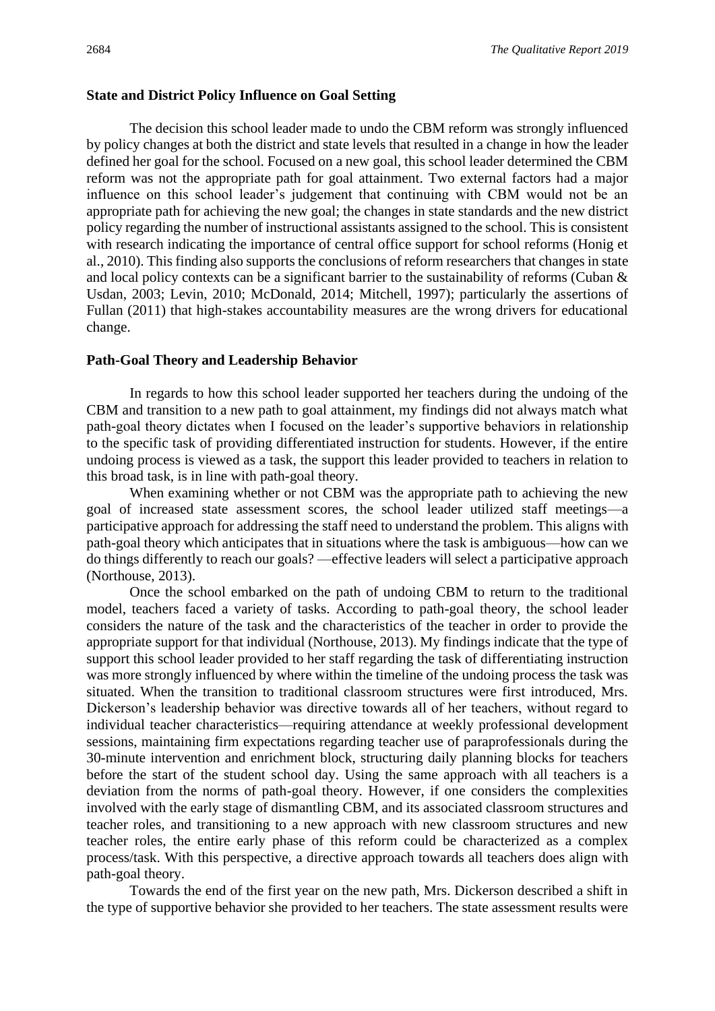#### **State and District Policy Influence on Goal Setting**

The decision this school leader made to undo the CBM reform was strongly influenced by policy changes at both the district and state levels that resulted in a change in how the leader defined her goal for the school. Focused on a new goal, this school leader determined the CBM reform was not the appropriate path for goal attainment. Two external factors had a major influence on this school leader's judgement that continuing with CBM would not be an appropriate path for achieving the new goal; the changes in state standards and the new district policy regarding the number of instructional assistants assigned to the school. This is consistent with research indicating the importance of central office support for school reforms (Honig et al., 2010). This finding also supports the conclusions of reform researchers that changes in state and local policy contexts can be a significant barrier to the sustainability of reforms (Cuban & Usdan, 2003; Levin, 2010; McDonald, 2014; Mitchell, 1997); particularly the assertions of Fullan (2011) that high-stakes accountability measures are the wrong drivers for educational change.

#### **Path-Goal Theory and Leadership Behavior**

In regards to how this school leader supported her teachers during the undoing of the CBM and transition to a new path to goal attainment, my findings did not always match what path-goal theory dictates when I focused on the leader's supportive behaviors in relationship to the specific task of providing differentiated instruction for students. However, if the entire undoing process is viewed as a task, the support this leader provided to teachers in relation to this broad task, is in line with path-goal theory.

When examining whether or not CBM was the appropriate path to achieving the new goal of increased state assessment scores, the school leader utilized staff meetings—a participative approach for addressing the staff need to understand the problem. This aligns with path-goal theory which anticipates that in situations where the task is ambiguous—how can we do things differently to reach our goals? —effective leaders will select a participative approach (Northouse, 2013).

Once the school embarked on the path of undoing CBM to return to the traditional model, teachers faced a variety of tasks. According to path-goal theory, the school leader considers the nature of the task and the characteristics of the teacher in order to provide the appropriate support for that individual (Northouse, 2013). My findings indicate that the type of support this school leader provided to her staff regarding the task of differentiating instruction was more strongly influenced by where within the timeline of the undoing process the task was situated. When the transition to traditional classroom structures were first introduced, Mrs. Dickerson's leadership behavior was directive towards all of her teachers, without regard to individual teacher characteristics—requiring attendance at weekly professional development sessions, maintaining firm expectations regarding teacher use of paraprofessionals during the 30-minute intervention and enrichment block, structuring daily planning blocks for teachers before the start of the student school day. Using the same approach with all teachers is a deviation from the norms of path-goal theory. However, if one considers the complexities involved with the early stage of dismantling CBM, and its associated classroom structures and teacher roles, and transitioning to a new approach with new classroom structures and new teacher roles, the entire early phase of this reform could be characterized as a complex process/task. With this perspective, a directive approach towards all teachers does align with path-goal theory.

Towards the end of the first year on the new path, Mrs. Dickerson described a shift in the type of supportive behavior she provided to her teachers. The state assessment results were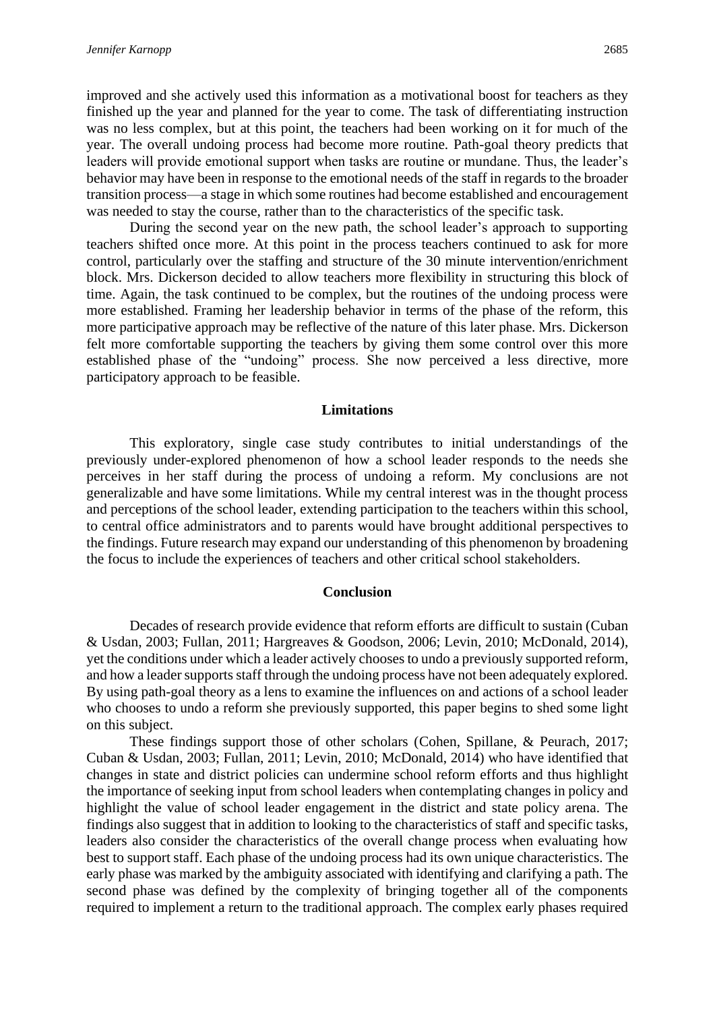improved and she actively used this information as a motivational boost for teachers as they finished up the year and planned for the year to come. The task of differentiating instruction was no less complex, but at this point, the teachers had been working on it for much of the year. The overall undoing process had become more routine. Path-goal theory predicts that leaders will provide emotional support when tasks are routine or mundane. Thus, the leader's behavior may have been in response to the emotional needs of the staff in regards to the broader transition process—a stage in which some routines had become established and encouragement was needed to stay the course, rather than to the characteristics of the specific task.

During the second year on the new path, the school leader's approach to supporting teachers shifted once more. At this point in the process teachers continued to ask for more control, particularly over the staffing and structure of the 30 minute intervention/enrichment block. Mrs. Dickerson decided to allow teachers more flexibility in structuring this block of time. Again, the task continued to be complex, but the routines of the undoing process were more established. Framing her leadership behavior in terms of the phase of the reform, this more participative approach may be reflective of the nature of this later phase. Mrs. Dickerson felt more comfortable supporting the teachers by giving them some control over this more established phase of the "undoing" process. She now perceived a less directive, more participatory approach to be feasible.

#### **Limitations**

This exploratory, single case study contributes to initial understandings of the previously under-explored phenomenon of how a school leader responds to the needs she perceives in her staff during the process of undoing a reform. My conclusions are not generalizable and have some limitations. While my central interest was in the thought process and perceptions of the school leader, extending participation to the teachers within this school, to central office administrators and to parents would have brought additional perspectives to the findings. Future research may expand our understanding of this phenomenon by broadening the focus to include the experiences of teachers and other critical school stakeholders.

#### **Conclusion**

Decades of research provide evidence that reform efforts are difficult to sustain (Cuban & Usdan, 2003; Fullan, 2011; Hargreaves & Goodson, 2006; Levin, 2010; McDonald, 2014), yet the conditions under which a leader actively chooses to undo a previously supported reform, and how a leader supports staff through the undoing process have not been adequately explored. By using path-goal theory as a lens to examine the influences on and actions of a school leader who chooses to undo a reform she previously supported, this paper begins to shed some light on this subject.

These findings support those of other scholars (Cohen, Spillane, & Peurach, 2017; Cuban & Usdan, 2003; Fullan, 2011; Levin, 2010; McDonald, 2014) who have identified that changes in state and district policies can undermine school reform efforts and thus highlight the importance of seeking input from school leaders when contemplating changes in policy and highlight the value of school leader engagement in the district and state policy arena. The findings also suggest that in addition to looking to the characteristics of staff and specific tasks, leaders also consider the characteristics of the overall change process when evaluating how best to support staff. Each phase of the undoing process had its own unique characteristics. The early phase was marked by the ambiguity associated with identifying and clarifying a path. The second phase was defined by the complexity of bringing together all of the components required to implement a return to the traditional approach. The complex early phases required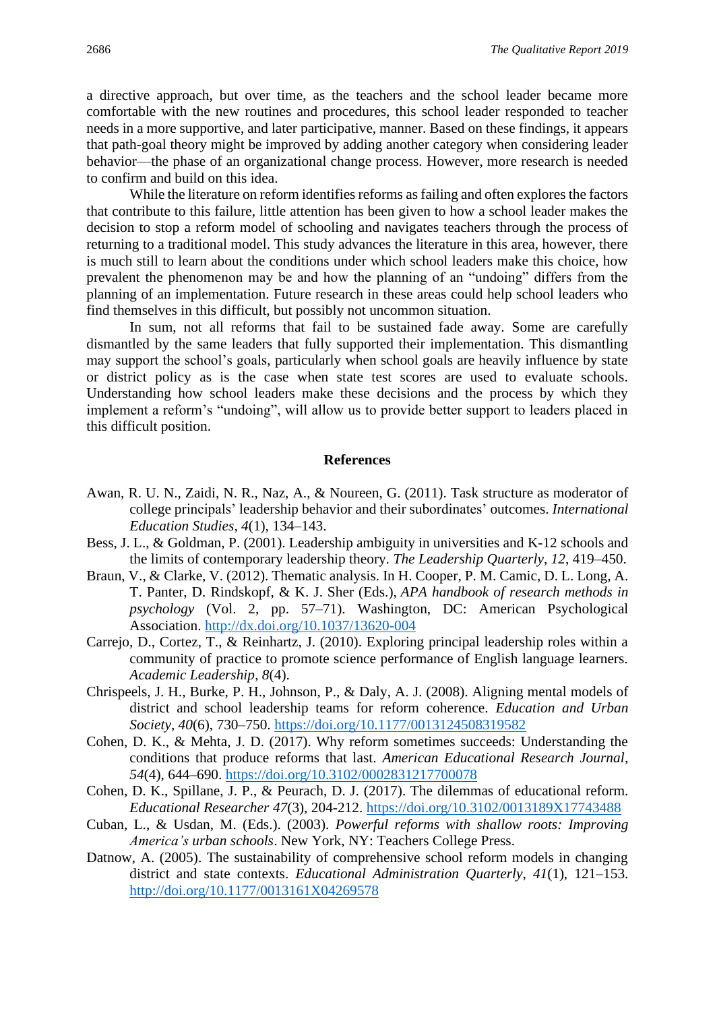a directive approach, but over time, as the teachers and the school leader became more comfortable with the new routines and procedures, this school leader responded to teacher needs in a more supportive, and later participative, manner. Based on these findings, it appears that path-goal theory might be improved by adding another category when considering leader behavior—the phase of an organizational change process. However, more research is needed to confirm and build on this idea.

While the literature on reform identifies reforms as failing and often explores the factors that contribute to this failure, little attention has been given to how a school leader makes the decision to stop a reform model of schooling and navigates teachers through the process of returning to a traditional model. This study advances the literature in this area, however, there is much still to learn about the conditions under which school leaders make this choice, how prevalent the phenomenon may be and how the planning of an "undoing" differs from the planning of an implementation. Future research in these areas could help school leaders who find themselves in this difficult, but possibly not uncommon situation.

In sum, not all reforms that fail to be sustained fade away. Some are carefully dismantled by the same leaders that fully supported their implementation. This dismantling may support the school's goals, particularly when school goals are heavily influence by state or district policy as is the case when state test scores are used to evaluate schools. Understanding how school leaders make these decisions and the process by which they implement a reform's "undoing", will allow us to provide better support to leaders placed in this difficult position.

#### **References**

- Awan, R. U. N., Zaidi, N. R., Naz, A., & Noureen, G. (2011). Task structure as moderator of college principals' leadership behavior and their subordinates' outcomes. *International Education Studies*, *4*(1), 134–143.
- Bess, J. L., & Goldman, P. (2001). Leadership ambiguity in universities and K-12 schools and the limits of contemporary leadership theory. *The Leadership Quarterly*, *12*, 419–450.
- Braun, V., & Clarke, V. (2012). Thematic analysis. In H. Cooper, P. M. Camic, D. L. Long, A. T. Panter, D. Rindskopf, & K. J. Sher (Eds.), *APA handbook of research methods in psychology* (Vol. 2, pp. 57–71). Washington, DC: American Psychological Association. [http://dx.doi.org/10.1037/13620-004](https://psycnet.apa.org/doi/10.1037/13620-004)
- Carrejo, D., Cortez, T., & Reinhartz, J. (2010). Exploring principal leadership roles within a community of practice to promote science performance of English language learners. *Academic Leadership*, *8*(4).
- Chrispeels, J. H., Burke, P. H., Johnson, P., & Daly, A. J. (2008). Aligning mental models of district and school leadership teams for reform coherence. *Education and Urban Society*, *40*(6), 730–750.<https://doi.org/10.1177/0013124508319582>
- Cohen, D. K., & Mehta, J. D. (2017). Why reform sometimes succeeds: Understanding the conditions that produce reforms that last. *American Educational Research Journal*, *54*(4), 644–690.<https://doi.org/10.3102/0002831217700078>
- Cohen, D. K., Spillane, J. P., & Peurach, D. J. (2017). The dilemmas of educational reform. *Educational Researcher 47*(3), 204-212.<https://doi.org/10.3102/0013189X17743488>
- Cuban, L., & Usdan, M. (Eds.). (2003). *Powerful reforms with shallow roots: Improving America's urban schools*. New York, NY: Teachers College Press.
- Datnow, A. (2005). The sustainability of comprehensive school reform models in changing district and state contexts. *Educational Administration Quarterly*, *41*(1), 121–153. <http://doi.org/10.1177/0013161X04269578>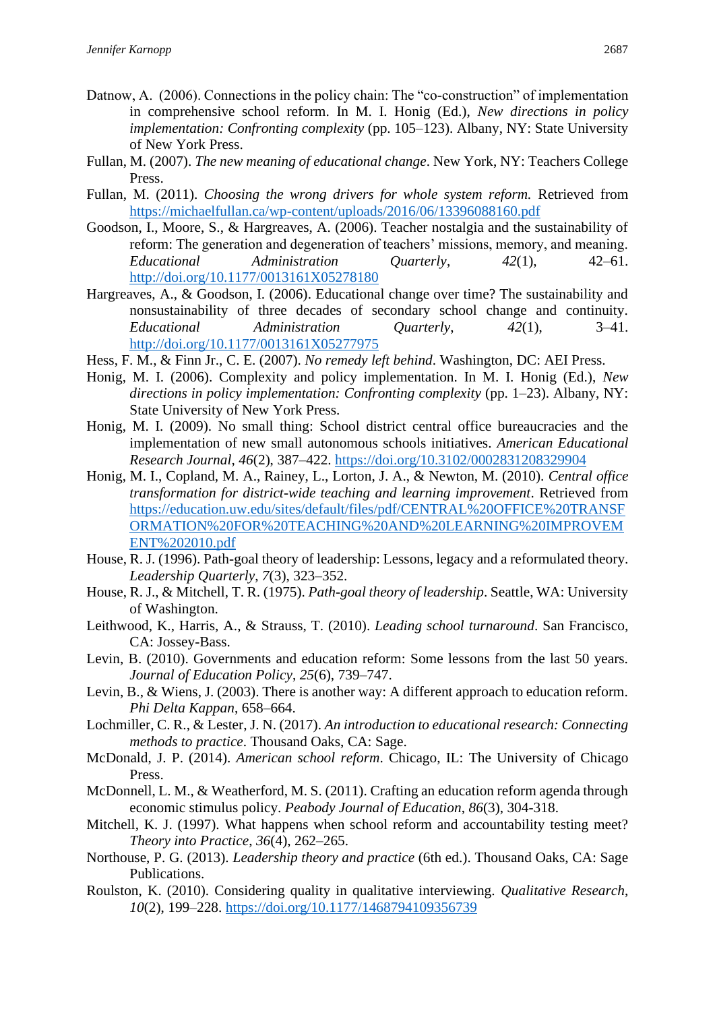- Datnow, A. (2006). Connections in the policy chain: The "co-construction" of implementation in comprehensive school reform. In M. I. Honig (Ed.), *New directions in policy implementation: Confronting complexity* (pp. 105–123). Albany, NY: State University of New York Press.
- Fullan, M. (2007). *The new meaning of educational change*. New York, NY: Teachers College Press.
- Fullan, M. (2011). *Choosing the wrong drivers for whole system reform.* Retrieved from <https://michaelfullan.ca/wp-content/uploads/2016/06/13396088160.pdf>
- Goodson, I., Moore, S., & Hargreaves, A. (2006). Teacher nostalgia and the sustainability of reform: The generation and degeneration of teachers' missions, memory, and meaning. *Educational Administration Quarterly*, *42*(1), 42–61. <http://doi.org/10.1177/0013161X05278180>
- Hargreaves, A., & Goodson, I. (2006). Educational change over time? The sustainability and nonsustainability of three decades of secondary school change and continuity. *Educational Administration Quarterly*, *42*(1), 3–41. <http://doi.org/10.1177/0013161X05277975>
- Hess, F. M., & Finn Jr., C. E. (2007). *No remedy left behind*. Washington, DC: AEI Press.
- Honig, M. I. (2006). Complexity and policy implementation. In M. I. Honig (Ed.), *New directions in policy implementation: Confronting complexity* (pp. 1–23). Albany, NY: State University of New York Press.
- Honig, M. I. (2009). No small thing: School district central office bureaucracies and the implementation of new small autonomous schools initiatives. *American Educational Research Journal*, *46*(2), 387–422.<https://doi.org/10.3102/0002831208329904>
- Honig, M. I., Copland, M. A., Rainey, L., Lorton, J. A., & Newton, M. (2010). *Central office transformation for district-wide teaching and learning improvement*. Retrieved from [https://education.uw.edu/sites/default/files/pdf/CENTRAL%20OFFICE%20TRANSF](https://education.uw.edu/sites/default/files/pdf/CENTRAL%20OFFICE%20TRANSFORMATION%20FOR%20TEACHING%20AND%20LEARNING%20IMPROVEMENT%202010.pdf) [ORMATION%20FOR%20TEACHING%20AND%20LEARNING%20IMPROVEM](https://education.uw.edu/sites/default/files/pdf/CENTRAL%20OFFICE%20TRANSFORMATION%20FOR%20TEACHING%20AND%20LEARNING%20IMPROVEMENT%202010.pdf) [ENT%202010.pdf](https://education.uw.edu/sites/default/files/pdf/CENTRAL%20OFFICE%20TRANSFORMATION%20FOR%20TEACHING%20AND%20LEARNING%20IMPROVEMENT%202010.pdf)
- House, R. J. (1996). Path-goal theory of leadership: Lessons, legacy and a reformulated theory. *Leadership Quarterly*, *7*(3), 323–352.
- House, R. J., & Mitchell, T. R. (1975). *Path-goal theory of leadership*. Seattle, WA: University of Washington.
- Leithwood, K., Harris, A., & Strauss, T. (2010). *Leading school turnaround*. San Francisco, CA: Jossey-Bass.
- Levin, B. (2010). Governments and education reform: Some lessons from the last 50 years. *Journal of Education Policy*, *25*(6), 739–747.
- Levin, B., & Wiens, J. (2003). There is another way: A different approach to education reform. *Phi Delta Kappan*, 658–664.
- Lochmiller, C. R., & Lester, J. N. (2017). *An introduction to educational research: Connecting methods to practice*. Thousand Oaks, CA: Sage.
- McDonald, J. P. (2014). *American school reform*. Chicago, IL: The University of Chicago Press.
- McDonnell, L. M., & Weatherford, M. S. (2011). Crafting an education reform agenda through economic stimulus policy. *Peabody Journal of Education*, *86*(3), 304-318.
- Mitchell, K. J. (1997). What happens when school reform and accountability testing meet? *Theory into Practice*, *36*(4), 262–265.
- Northouse, P. G. (2013). *Leadership theory and practice* (6th ed.). Thousand Oaks, CA: Sage Publications.
- Roulston, K. (2010). Considering quality in qualitative interviewing. *Qualitative Research*, *10*(2), 199–228.<https://doi.org/10.1177/1468794109356739>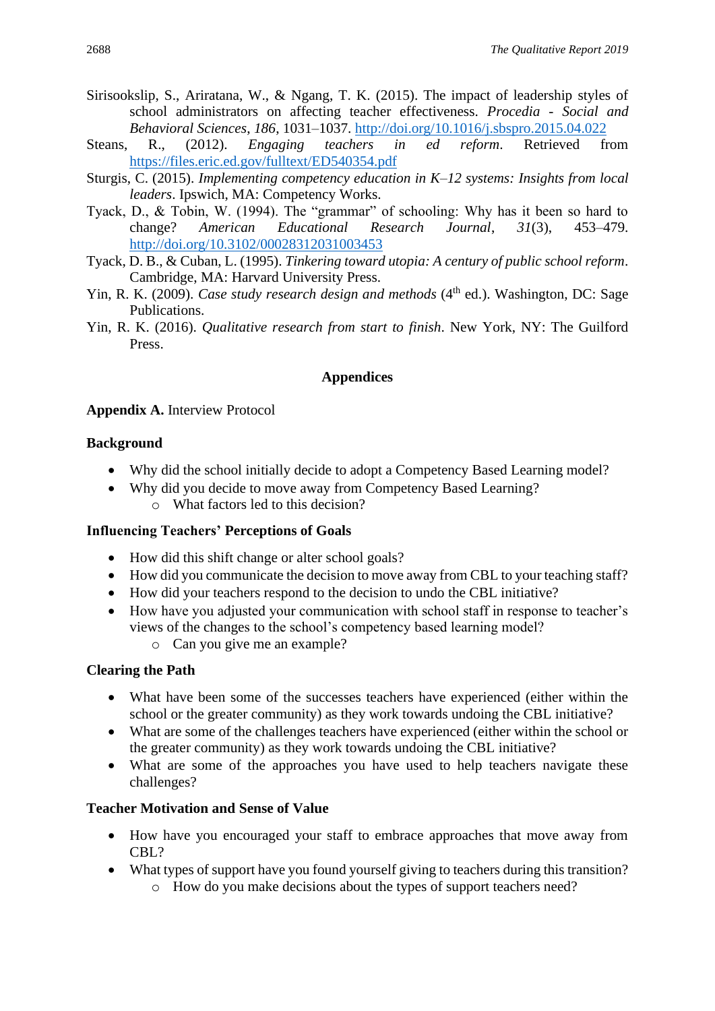- Sirisookslip, S., Ariratana, W., & Ngang, T. K. (2015). The impact of leadership styles of school administrators on affecting teacher effectiveness. *Procedia - Social and Behavioral Sciences*, *186*, 1031–1037.<http://doi.org/10.1016/j.sbspro.2015.04.022>
- Steans, R., (2012). *Engaging teachers in ed reform*. Retrieved from <https://files.eric.ed.gov/fulltext/ED540354.pdf>
- Sturgis, C. (2015). *Implementing competency education in K–12 systems: Insights from local leaders*. Ipswich, MA: Competency Works.
- Tyack, D., & Tobin, W. (1994). The "grammar" of schooling: Why has it been so hard to change? *American Educational Research Journal*, *31*(3), 453–479. <http://doi.org/10.3102/00028312031003453>
- Tyack, D. B., & Cuban, L. (1995). *Tinkering toward utopia: A century of public school reform*. Cambridge, MA: Harvard University Press.
- Yin, R. K. (2009). *Case study research design and methods* (4<sup>th</sup> ed.). Washington, DC: Sage Publications.
- Yin, R. K. (2016). *Qualitative research from start to finish*. New York, NY: The Guilford Press.

# **Appendices**

#### **Appendix A.** Interview Protocol

#### **Background**

- Why did the school initially decide to adopt a Competency Based Learning model?
- Why did you decide to move away from Competency Based Learning? o What factors led to this decision?

# **Influencing Teachers' Perceptions of Goals**

- How did this shift change or alter school goals?
- How did you communicate the decision to move away from CBL to your teaching staff?
- How did your teachers respond to the decision to undo the CBL initiative?
- How have you adjusted your communication with school staff in response to teacher's views of the changes to the school's competency based learning model?
	- o Can you give me an example?

# **Clearing the Path**

- What have been some of the successes teachers have experienced (either within the school or the greater community) as they work towards undoing the CBL initiative?
- What are some of the challenges teachers have experienced (either within the school or the greater community) as they work towards undoing the CBL initiative?
- What are some of the approaches you have used to help teachers navigate these challenges?

# **Teacher Motivation and Sense of Value**

- How have you encouraged your staff to embrace approaches that move away from CBL?
- What types of support have you found yourself giving to teachers during this transition?
	- o How do you make decisions about the types of support teachers need?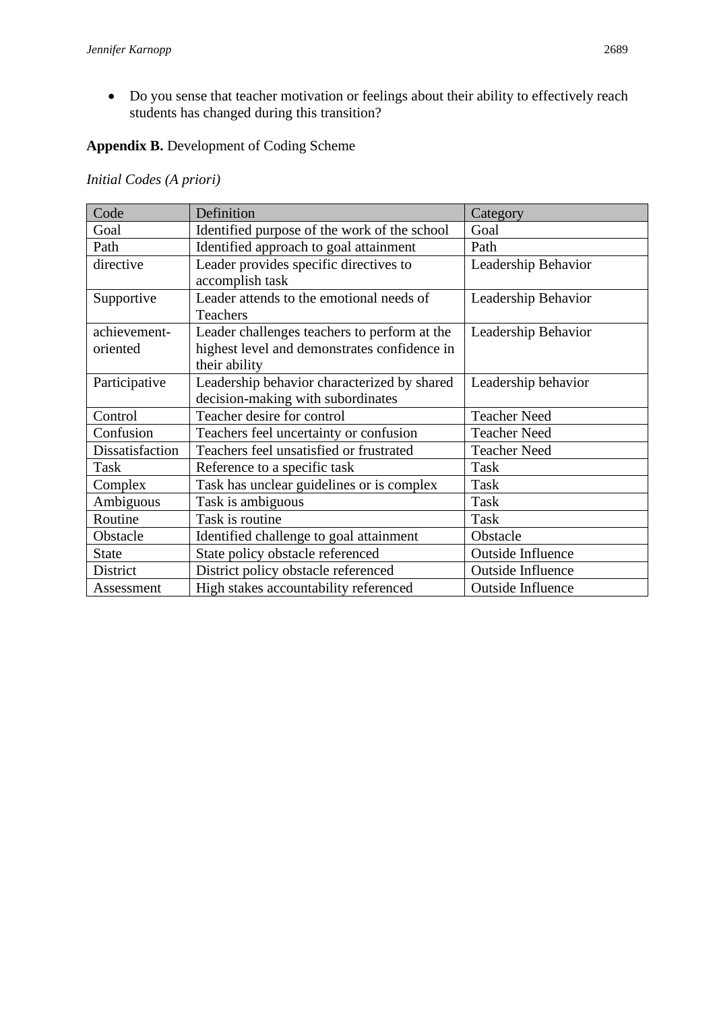• Do you sense that teacher motivation or feelings about their ability to effectively reach students has changed during this transition?

# **Appendix B.** Development of Coding Scheme

# *Initial Codes (A priori)*

| Code                     | Definition                                                                                                    | Category                 |  |
|--------------------------|---------------------------------------------------------------------------------------------------------------|--------------------------|--|
| Goal                     | Identified purpose of the work of the school                                                                  | Goal                     |  |
| Path                     | Identified approach to goal attainment                                                                        | Path                     |  |
| directive                | Leader provides specific directives to<br>accomplish task                                                     | Leadership Behavior      |  |
| Supportive               | Leader attends to the emotional needs of<br>Teachers                                                          | Leadership Behavior      |  |
| achievement-<br>oriented | Leader challenges teachers to perform at the<br>highest level and demonstrates confidence in<br>their ability | Leadership Behavior      |  |
| Participative            | Leadership behavior characterized by shared<br>decision-making with subordinates                              | Leadership behavior      |  |
| Control                  | Teacher desire for control                                                                                    | <b>Teacher Need</b>      |  |
| Confusion                | Teachers feel uncertainty or confusion                                                                        | <b>Teacher Need</b>      |  |
| Dissatisfaction          | Teachers feel unsatisfied or frustrated                                                                       | <b>Teacher Need</b>      |  |
| Task                     | Reference to a specific task                                                                                  | Task                     |  |
| Complex                  | Task has unclear guidelines or is complex                                                                     | Task                     |  |
| Ambiguous                | Task is ambiguous                                                                                             | Task                     |  |
| Routine                  | Task is routine                                                                                               | Task                     |  |
| Obstacle                 | Identified challenge to goal attainment                                                                       | Obstacle                 |  |
| <b>State</b>             | State policy obstacle referenced                                                                              | <b>Outside Influence</b> |  |
| District                 | District policy obstacle referenced                                                                           | <b>Outside Influence</b> |  |
| Assessment               | High stakes accountability referenced                                                                         | <b>Outside Influence</b> |  |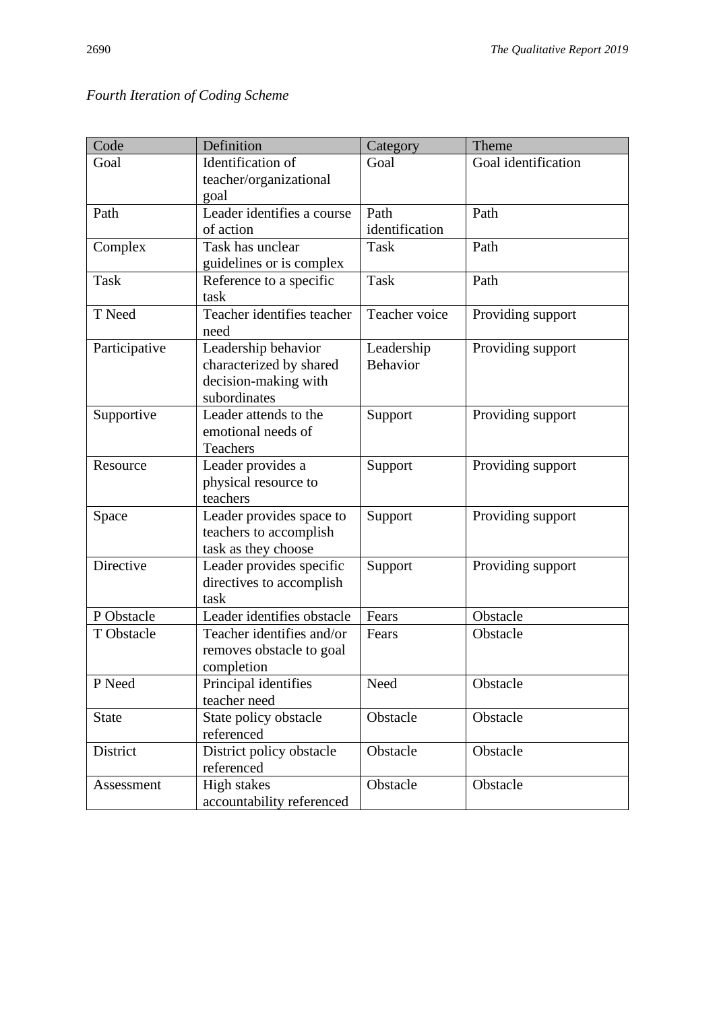| Code          | Definition                            | Category                      | Theme                |
|---------------|---------------------------------------|-------------------------------|----------------------|
| Goal          | Identification of                     | Goal                          | Goal identification  |
|               | teacher/organizational                |                               |                      |
|               | goal                                  |                               |                      |
| Path          | Leader identifies a course            | Path                          | Path                 |
|               | of action<br>Task has unclear         | identification<br><b>Task</b> | Path                 |
| Complex       | guidelines or is complex              |                               |                      |
| <b>Task</b>   | Reference to a specific               | <b>Task</b>                   | Path                 |
|               | task                                  |                               |                      |
| T Need        | Teacher identifies teacher            | Teacher voice                 | Providing support    |
|               | need                                  |                               |                      |
| Participative | Leadership behavior                   | Leadership                    | Providing support    |
|               | characterized by shared               | <b>Behavior</b>               |                      |
|               | decision-making with                  |                               |                      |
|               | subordinates<br>Leader attends to the |                               |                      |
| Supportive    | emotional needs of                    | Support                       | Providing support    |
|               | Teachers                              |                               |                      |
| Resource      | Leader provides a                     | Support                       | Providing support    |
|               | physical resource to                  |                               |                      |
|               | teachers                              |                               |                      |
| Space         | Leader provides space to              | Support                       | Providing support    |
|               | teachers to accomplish                |                               |                      |
|               | task as they choose                   |                               |                      |
| Directive     | Leader provides specific              | Support                       | Providing support    |
|               | directives to accomplish              |                               |                      |
| P Obstacle    | task<br>Leader identifies obstacle    |                               |                      |
| T Obstacle    | Teacher identifies and/or             | Fears<br>Fears                | Obstacle<br>Obstacle |
|               | removes obstacle to goal              |                               |                      |
|               | completion                            |                               |                      |
| P Need        | Principal identifies                  | Need                          | Obstacle             |
|               | teacher need                          |                               |                      |
| <b>State</b>  | State policy obstacle                 | Obstacle                      | Obstacle             |
|               | referenced                            |                               |                      |
| District      | District policy obstacle              | Obstacle                      | Obstacle             |
|               | referenced                            |                               |                      |
| Assessment    | High stakes                           | Obstacle                      | Obstacle             |
|               | accountability referenced             |                               |                      |

# *Fourth Iteration of Coding Scheme*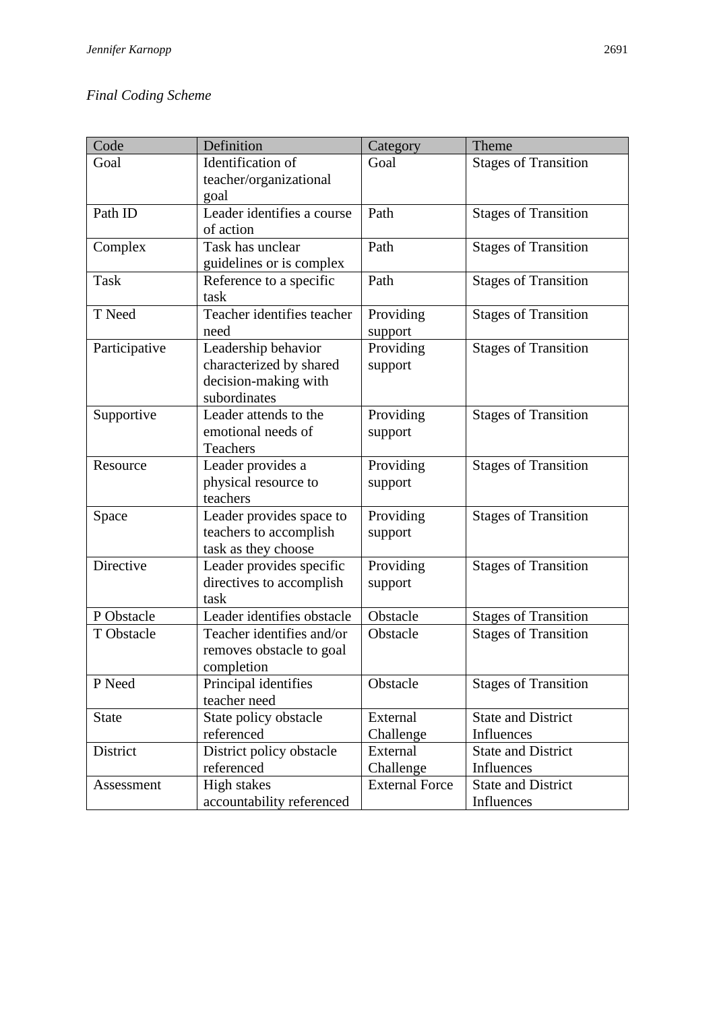# *Final Coding Scheme*

| Code          | Definition                                                                             | Category              | Theme                                   |
|---------------|----------------------------------------------------------------------------------------|-----------------------|-----------------------------------------|
| Goal          | Identification of<br>teacher/organizational<br>goal                                    | Goal                  | <b>Stages of Transition</b>             |
| Path ID       | Leader identifies a course<br>of action                                                | Path                  | <b>Stages of Transition</b>             |
| Complex       | Task has unclear<br>guidelines or is complex                                           | Path                  | <b>Stages of Transition</b>             |
| <b>Task</b>   | Reference to a specific<br>task                                                        | Path                  | <b>Stages of Transition</b>             |
| T Need        | Teacher identifies teacher<br>need                                                     | Providing<br>support  | <b>Stages of Transition</b>             |
| Participative | Leadership behavior<br>characterized by shared<br>decision-making with<br>subordinates | Providing<br>support  | <b>Stages of Transition</b>             |
| Supportive    | Leader attends to the<br>emotional needs of<br>Teachers                                | Providing<br>support  | <b>Stages of Transition</b>             |
| Resource      | Leader provides a<br>physical resource to<br>teachers                                  | Providing<br>support  | <b>Stages of Transition</b>             |
| Space         | Leader provides space to<br>teachers to accomplish<br>task as they choose              | Providing<br>support  | <b>Stages of Transition</b>             |
| Directive     | Leader provides specific<br>directives to accomplish<br>task                           | Providing<br>support  | <b>Stages of Transition</b>             |
| P Obstacle    | Leader identifies obstacle                                                             | Obstacle              | <b>Stages of Transition</b>             |
| T Obstacle    | Teacher identifies and/or<br>removes obstacle to goal<br>completion                    | Obstacle              | <b>Stages of Transition</b>             |
| P Need        | Principal identifies<br>teacher need                                                   | Obstacle              | <b>Stages of Transition</b>             |
| <b>State</b>  | State policy obstacle<br>referenced                                                    | External<br>Challenge | <b>State and District</b><br>Influences |
| District      | District policy obstacle<br>referenced                                                 | External<br>Challenge | <b>State and District</b><br>Influences |
| Assessment    | High stakes<br>accountability referenced                                               | <b>External Force</b> | <b>State and District</b><br>Influences |